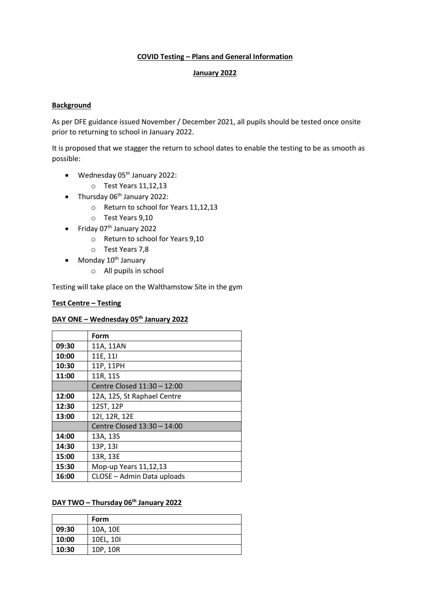### **COVID Testing – Plans and General Information**

#### **January 2022**

## **Background**

As per DFE guidance issued November / December 2021, all pupils should be tested once onsite prior to returning to school in January 2022.

It is proposed that we stagger the return to school dates to enable the testing to be as smooth as possible:

- $\bullet$  Wednesday 05<sup>th</sup> January 2022:
	- o Test Years 11,12,13
- Thursday 06<sup>th</sup> January 2022:
	- o Return to school for Years 11,12,13
	- o Test Years 9,10
- $\bullet$  Friday 07<sup>th</sup> January 2022
	- o Return to school for Years 9,10
	- o Test Years 7,8
- $\bullet$  Monday 10<sup>th</sup> January
	- o All pupils in school

Testing will take place on the Walthamstow Site in the gym

### **Test Centre – Testing**

### **DAY ONE – Wednesday 05th January 2022**

|       | Form                        |  |  |
|-------|-----------------------------|--|--|
| 09:30 | 11A, 11AN                   |  |  |
| 10:00 | 11E, 11I                    |  |  |
| 10:30 | 11P, 11PH                   |  |  |
| 11:00 | 11R, 11S                    |  |  |
|       | Centre Closed 11:30 - 12:00 |  |  |
| 12:00 | 12A, 12S, St Raphael Centre |  |  |
| 12:30 | 12ST, 12P                   |  |  |
| 13:00 | 12I, 12R, 12E               |  |  |
|       | Centre Closed 13:30 - 14:00 |  |  |
| 14:00 | 13A, 13S                    |  |  |
| 14:30 | 13P, 13I                    |  |  |
| 15:00 | 13R, 13E                    |  |  |
| 15:30 | Mop-up Years 11,12,13       |  |  |
| 16:00 | CLOSE - Admin Data uploads  |  |  |

## **DAY TWO – Thursday 06th January 2022**

|       | Form      |
|-------|-----------|
| 09:30 | 10A, 10E  |
| 10:00 | 10EL, 10I |
| 10:30 | 10P, 10R  |